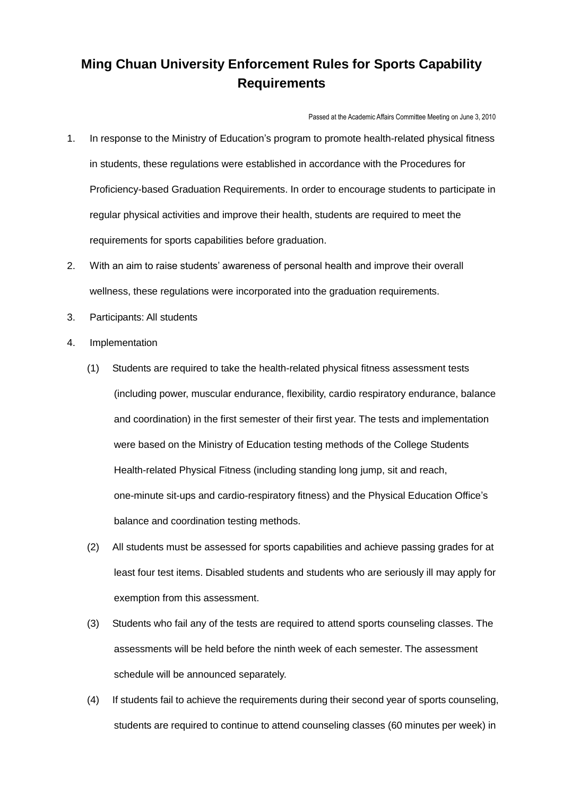## **Ming Chuan University Enforcement Rules for Sports Capability Requirements**

Passed at the Academic Affairs Committee Meeting on June 3, 2010

- 1. In response to the Ministry of Education's program to promote health-related physical fitness in students, these regulations were established in accordance with the Procedures for Proficiency-based Graduation Requirements. In order to encourage students to participate in regular physical activities and improve their health, students are required to meet the requirements for sports capabilities before graduation.
- 2. With an aim to raise students' awareness of personal health and improve their overall wellness, these regulations were incorporated into the graduation requirements.
- 3. Participants: All students
- 4. Implementation
	- (1) Students are required to take the health-related physical fitness assessment tests (including power, muscular endurance, flexibility, cardio respiratory endurance, balance and coordination) in the first semester of their first year. The tests and implementation were based on the Ministry of Education testing methods of the College Students Health-related Physical Fitness (including standing long jump, sit and reach, one-minute sit-ups and cardio-respiratory fitness) and the Physical Education Office's balance and coordination testing methods.
	- (2) All students must be assessed for sports capabilities and achieve passing grades for at least four test items. Disabled students and students who are seriously ill may apply for exemption from this assessment.
	- (3) Students who fail any of the tests are required to attend sports counseling classes. The assessments will be held before the ninth week of each semester. The assessment schedule will be announced separately.
	- (4) If students fail to achieve the requirements during their second year of sports counseling, students are required to continue to attend counseling classes (60 minutes per week) in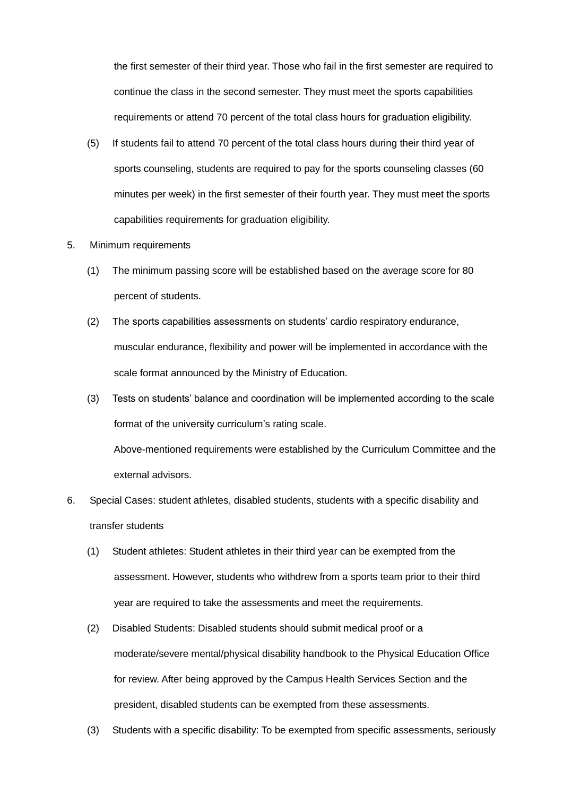the first semester of their third year. Those who fail in the first semester are required to continue the class in the second semester. They must meet the sports capabilities requirements or attend 70 percent of the total class hours for graduation eligibility.

- (5) If students fail to attend 70 percent of the total class hours during their third year of sports counseling, students are required to pay for the sports counseling classes (60 minutes per week) in the first semester of their fourth year. They must meet the sports capabilities requirements for graduation eligibility.
- 5. Minimum requirements
	- (1) The minimum passing score will be established based on the average score for 80 percent of students.
	- (2) The sports capabilities assessments on students' cardio respiratory endurance, muscular endurance, flexibility and power will be implemented in accordance with the scale format announced by the Ministry of Education.
	- (3) Tests on students' balance and coordination will be implemented according to the scale format of the university curriculum's rating scale. Above-mentioned requirements were established by the Curriculum Committee and the external advisors.
- 6. Special Cases: student athletes, disabled students, students with a specific disability and transfer students
	- (1) Student athletes: Student athletes in their third year can be exempted from the assessment. However, students who withdrew from a sports team prior to their third year are required to take the assessments and meet the requirements.
	- (2) Disabled Students: Disabled students should submit medical proof or a moderate/severe mental/physical disability handbook to the Physical Education Office for review. After being approved by the Campus Health Services Section and the president, disabled students can be exempted from these assessments.
	- (3) Students with a specific disability: To be exempted from specific assessments, seriously